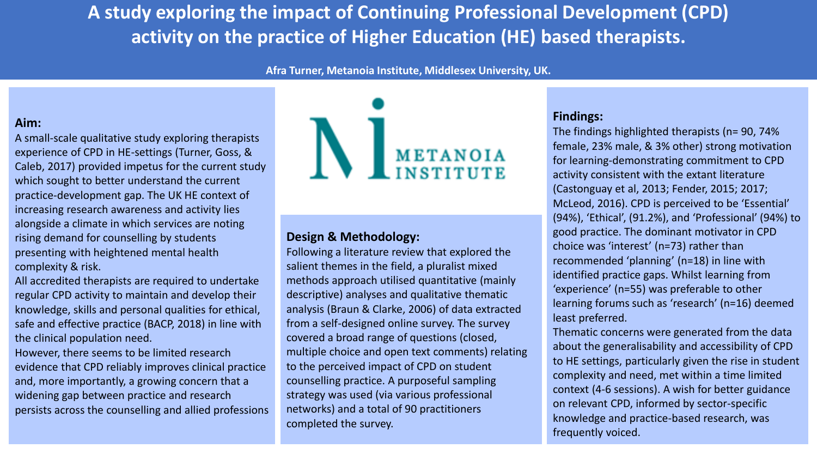**A study exploring the impact of Continuing Professional Development (CPD) activity on the practice of Higher Education (HE) based therapists.**

**Afra Turner, Metanoia Institute, Middlesex University, UK.**

# **Aim:**

A small-scale qualitative study exploring therapists experience of CPD in HE-settings (Turner, Goss, & Caleb, 2017) provided impetus for the current study which sought to better understand the current practice-development gap. The UK HE context of increasing research awareness and activity lies alongside a climate in which services are noting rising demand for counselling by students presenting with heightened mental health complexity & risk.

All accredited therapists are required to undertake regular CPD activity to maintain and develop their knowledge, skills and personal qualities for ethical, safe and effective practice (BACP, 2018) in line with the clinical population need.

However, there seems to be limited research evidence that CPD reliably improves clinical practice and, more importantly, a growing concern that a widening gap between practice and research persists across the counselling and allied professions



# **Design & Methodology:**

Following a literature review that explored the salient themes in the field, a pluralist mixed methods approach utilised quantitative (mainly descriptive) analyses and qualitative thematic analysis (Braun & Clarke, 2006) of data extracted from a self-designed online survey. The survey covered a broad range of questions (closed, multiple choice and open text comments) relating to the perceived impact of CPD on student counselling practice. A purposeful sampling strategy was used (via various professional networks) and a total of 90 practitioners completed the survey.

# **Findings:**

The findings highlighted therapists (n= 90, 74% female, 23% male, & 3% other) strong motivation for learning-demonstrating commitment to CPD activity consistent with the extant literature (Castonguay et al, 2013; Fender, 2015; 2017; McLeod, 2016). CPD is perceived to be 'Essential' (94%), 'Ethical', (91.2%), and 'Professional' (94%) to good practice. The dominant motivator in CPD choice was 'interest' (n=73) rather than recommended 'planning' (n=18) in line with identified practice gaps. Whilst learning from 'experience' (n=55) was preferable to other learning forums such as 'research' (n=16) deemed least preferred.

Thematic concerns were generated from the data about the generalisability and accessibility of CPD to HE settings, particularly given the rise in student complexity and need, met within a time limited context (4-6 sessions). A wish for better guidance on relevant CPD, informed by sector-specific knowledge and practice-based research, was frequently voiced.